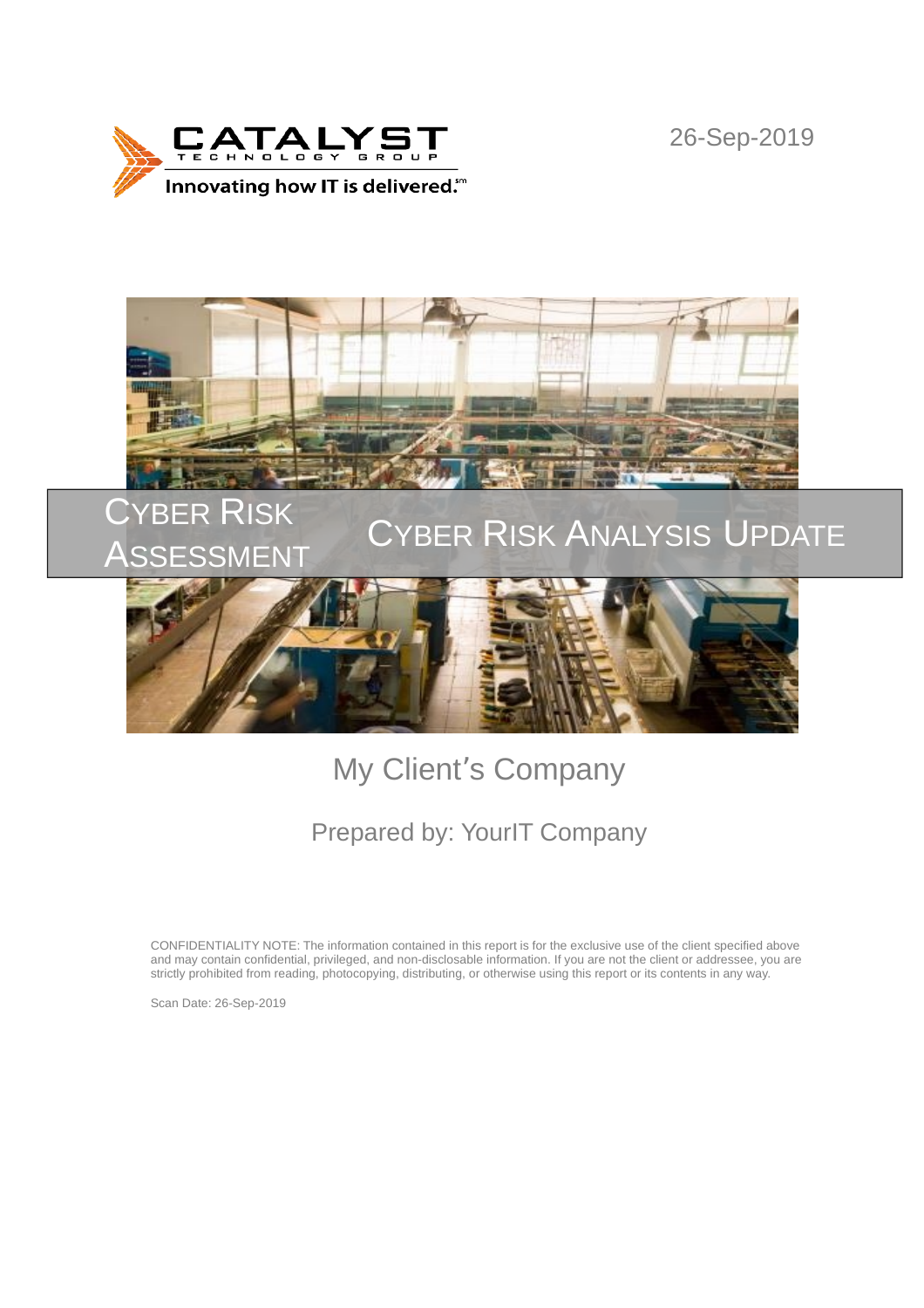

26-Sep-2019



# My Client's Company

## Prepared by: YourIT Company

CONFIDENTIALITY NOTE: The information contained in this report is for the exclusive use of the client specified above and may contain confidential, privileged, and non-disclosable information. If you are not the client or addressee, you are strictly prohibited from reading, photocopying, distributing, or otherwise using this report or its contents in any way.

Scan Date: 26-Sep-2019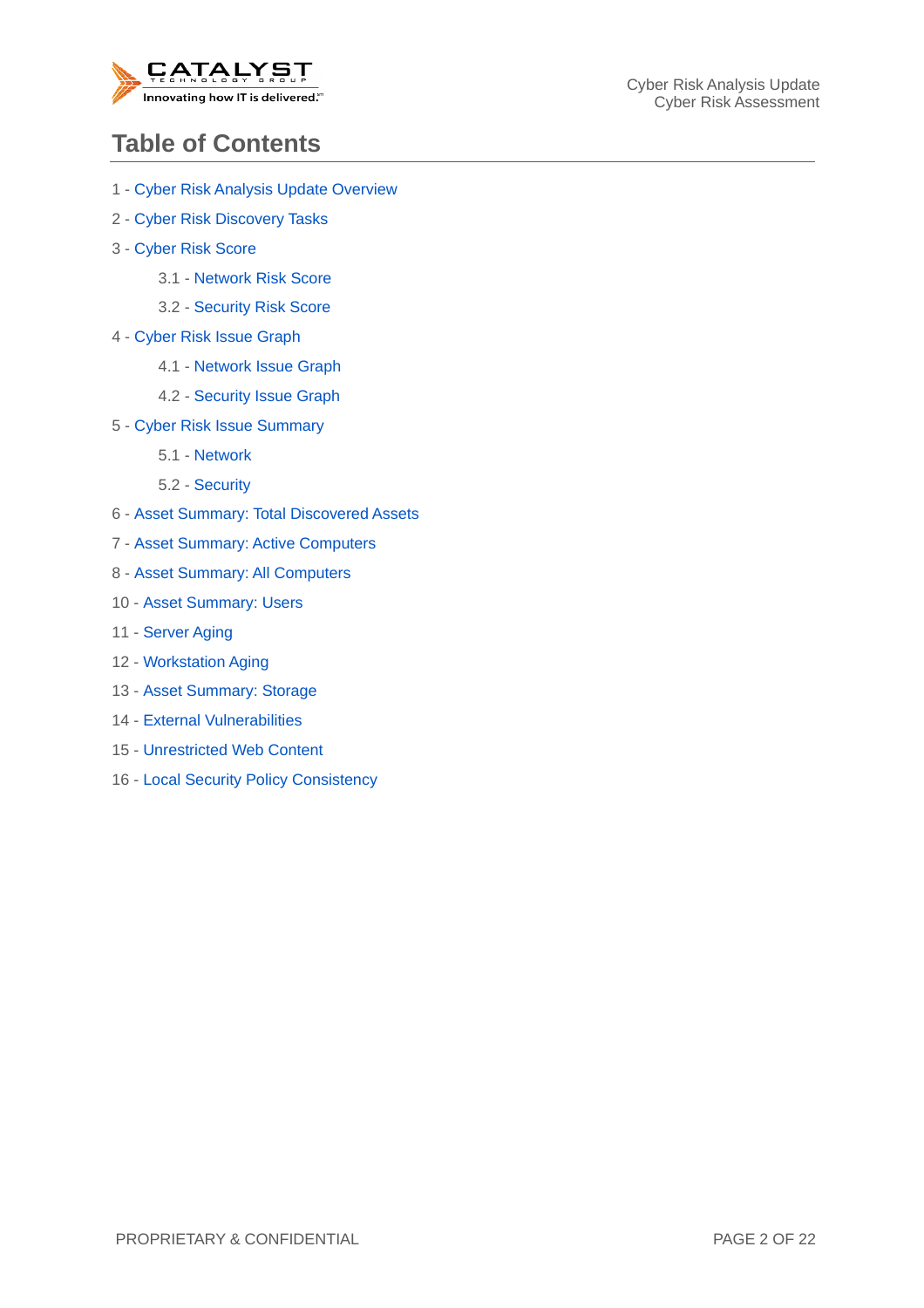

#### **Table of Contents**

- 1 Cyber Risk Analysis Update Overview
- 2 Cyber Risk Discovery Tasks
- 3 Cyber Risk Score
	- 3.1 Network Risk Score
	- 3.2 Security Risk Score
- 4 Cyber Risk Issue Graph
	- 4.1 Network Issue Graph
	- 4.2 Security Issue Graph
- 5 Cyber Risk Issue Summary
	- 5.1 Network
	- 5.2 Security
- 6 Asset Summary: Total Discovered Assets
- 7 Asset Summary: Active Computers
- 8 Asset Summary: All Computers
- 10 Asset Summary: Users
- 11 Server Aging
- 12 Workstation Aging
- 13 Asset Summary: Storage
- 14 External Vulnerabilities
- 15 Unrestricted Web Content
- 16 Local Security Policy Consistency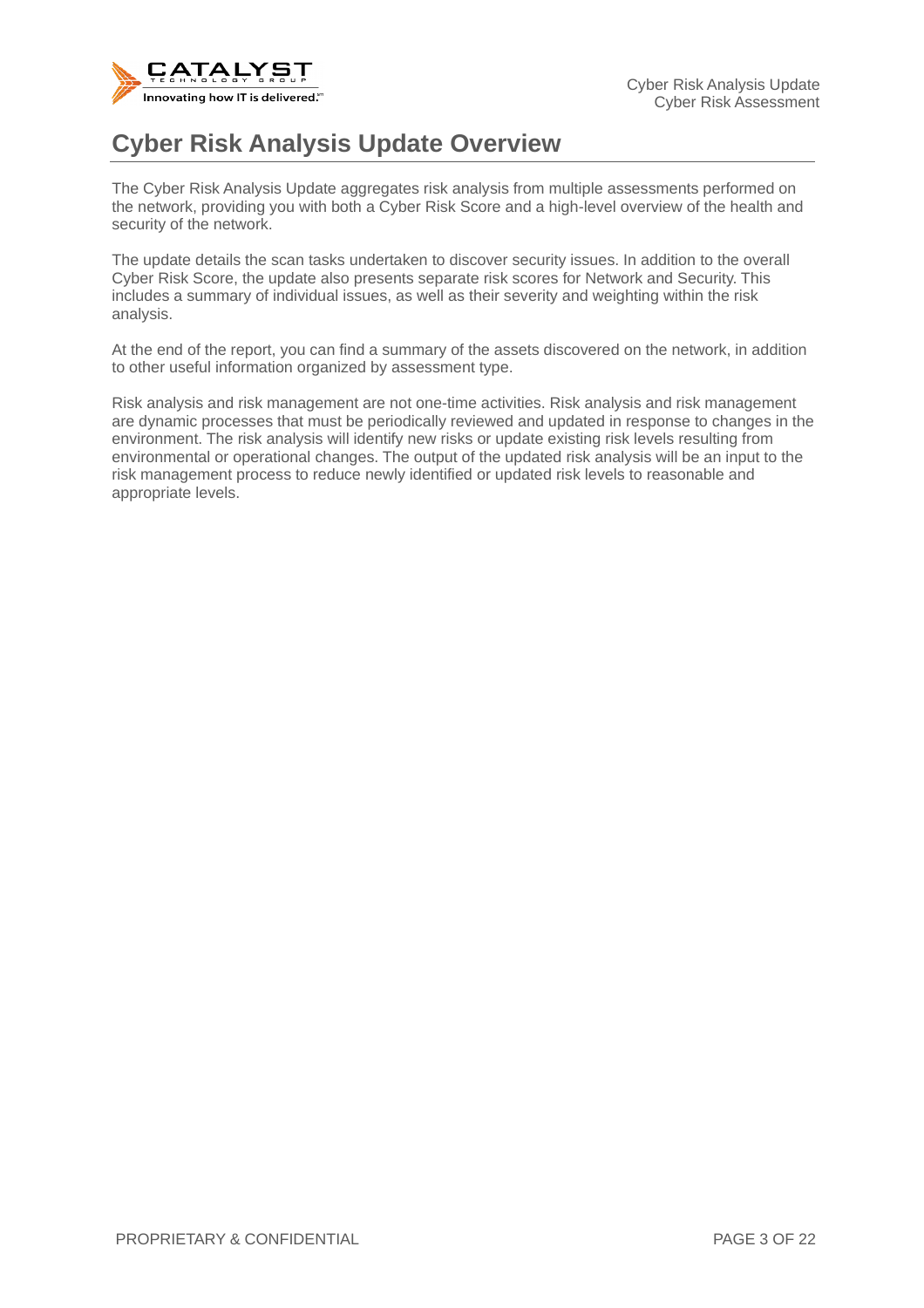

#### **Cyber Risk Analysis Update Overview**

The Cyber Risk Analysis Update aggregates risk analysis from multiple assessments performed on the network, providing you with both a Cyber Risk Score and a high-level overview of the health and security of the network.

The update details the scan tasks undertaken to discover security issues. In addition to the overall Cyber Risk Score, the update also presents separate risk scores for Network and Security. This includes a summary of individual issues, as well as their severity and weighting within the risk analysis.

At the end of the report, you can find a summary of the assets discovered on the network, in addition to other useful information organized by assessment type.

Risk analysis and risk management are not one-time activities. Risk analysis and risk management are dynamic processes that must be periodically reviewed and updated in response to changes in the environment. The risk analysis will identify new risks or update existing risk levels resulting from environmental or operational changes. The output of the updated risk analysis will be an input to the risk management process to reduce newly identified or updated risk levels to reasonable and appropriate levels.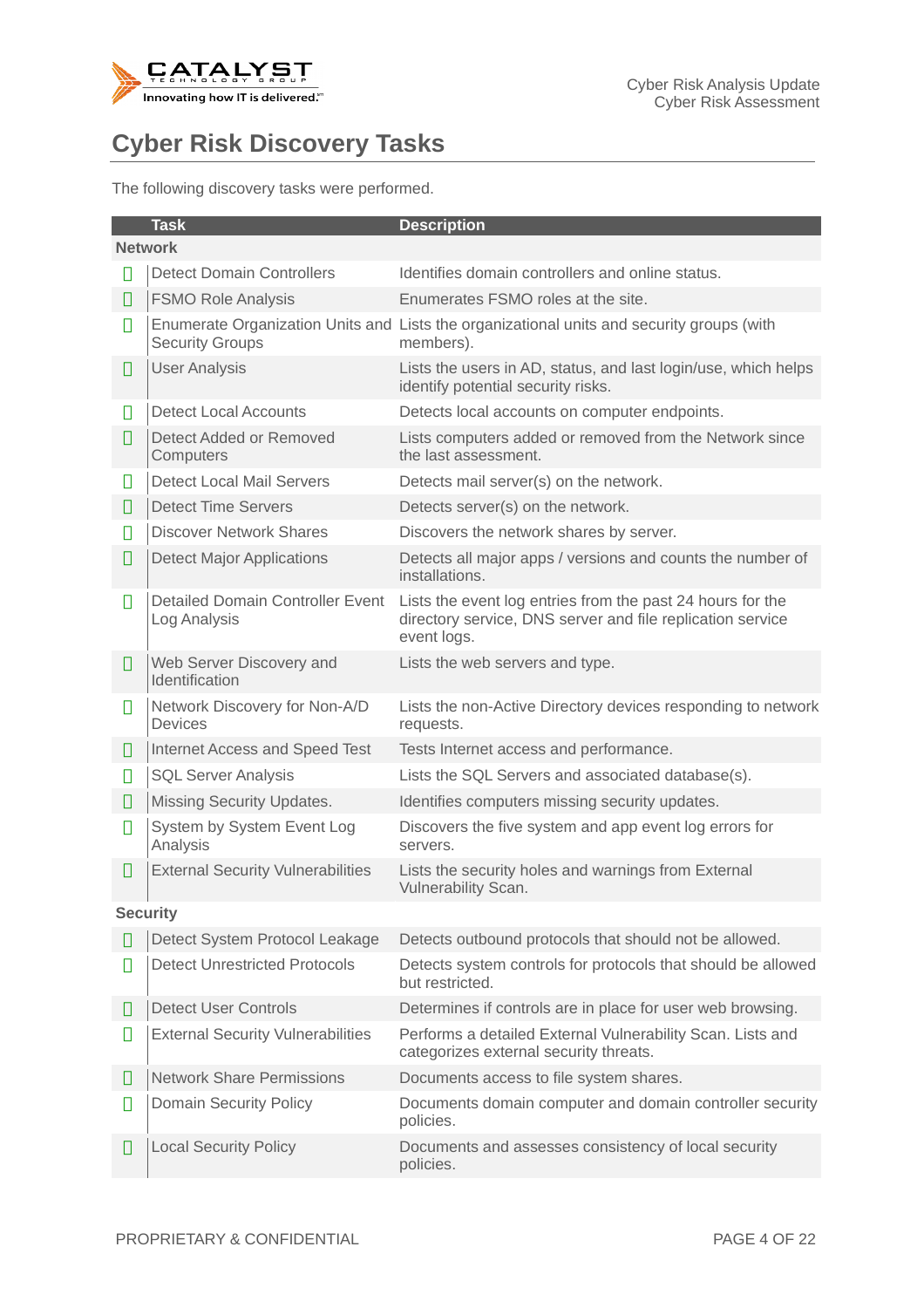

## **Cyber Risk Discovery Tasks**

The following discovery tasks were performed.

|                 | <b>Task</b>                                             | <b>Description</b>                                                                                                                      |  |  |  |
|-----------------|---------------------------------------------------------|-----------------------------------------------------------------------------------------------------------------------------------------|--|--|--|
| <b>Network</b>  |                                                         |                                                                                                                                         |  |  |  |
| Н               | <b>Detect Domain Controllers</b>                        | Identifies domain controllers and online status.                                                                                        |  |  |  |
| П               | <b>FSMO Role Analysis</b>                               | Enumerates FSMO roles at the site.                                                                                                      |  |  |  |
| П               | <b>Security Groups</b>                                  | Enumerate Organization Units and Lists the organizational units and security groups (with<br>members).                                  |  |  |  |
| П               | <b>User Analysis</b>                                    | Lists the users in AD, status, and last login/use, which helps<br>identify potential security risks.                                    |  |  |  |
| П               | <b>Detect Local Accounts</b>                            | Detects local accounts on computer endpoints.                                                                                           |  |  |  |
| П               | Detect Added or Removed<br>Computers                    | Lists computers added or removed from the Network since<br>the last assessment.                                                         |  |  |  |
| П               | Detect Local Mail Servers                               | Detects mail server(s) on the network.                                                                                                  |  |  |  |
| Ш               | <b>Detect Time Servers</b>                              | Detects server(s) on the network.                                                                                                       |  |  |  |
| П               | <b>Discover Network Shares</b>                          | Discovers the network shares by server.                                                                                                 |  |  |  |
| П               | <b>Detect Major Applications</b>                        | Detects all major apps / versions and counts the number of<br>installations.                                                            |  |  |  |
| П               | <b>Detailed Domain Controller Event</b><br>Log Analysis | Lists the event log entries from the past 24 hours for the<br>directory service, DNS server and file replication service<br>event logs. |  |  |  |
| О               | Web Server Discovery and<br>Identification              | Lists the web servers and type.                                                                                                         |  |  |  |
| П               | Network Discovery for Non-A/D<br><b>Devices</b>         | Lists the non-Active Directory devices responding to network<br>requests.                                                               |  |  |  |
| Ш               | Internet Access and Speed Test                          | Tests Internet access and performance.                                                                                                  |  |  |  |
| Ц               | <b>SQL Server Analysis</b>                              | Lists the SQL Servers and associated database(s).                                                                                       |  |  |  |
| О               | Missing Security Updates.                               | Identifies computers missing security updates.                                                                                          |  |  |  |
| ▯               | System by System Event Log<br>Analysis                  | Discovers the five system and app event log errors for<br>servers.                                                                      |  |  |  |
| О               | <b>External Security Vulnerabilities</b>                | Lists the security holes and warnings from External<br>Vulnerability Scan.                                                              |  |  |  |
| <b>Security</b> |                                                         |                                                                                                                                         |  |  |  |
| Ш               | Detect System Protocol Leakage                          | Detects outbound protocols that should not be allowed.                                                                                  |  |  |  |
| П               | <b>Detect Unrestricted Protocols</b>                    | Detects system controls for protocols that should be allowed<br>but restricted.                                                         |  |  |  |
| Ш               | <b>Detect User Controls</b>                             | Determines if controls are in place for user web browsing.                                                                              |  |  |  |
| П               | <b>External Security Vulnerabilities</b>                | Performs a detailed External Vulnerability Scan. Lists and<br>categorizes external security threats.                                    |  |  |  |
| П               | <b>Network Share Permissions</b>                        | Documents access to file system shares.                                                                                                 |  |  |  |
| П               | Domain Security Policy                                  | Documents domain computer and domain controller security<br>policies.                                                                   |  |  |  |
| О               | <b>Local Security Policy</b>                            | Documents and assesses consistency of local security<br>policies.                                                                       |  |  |  |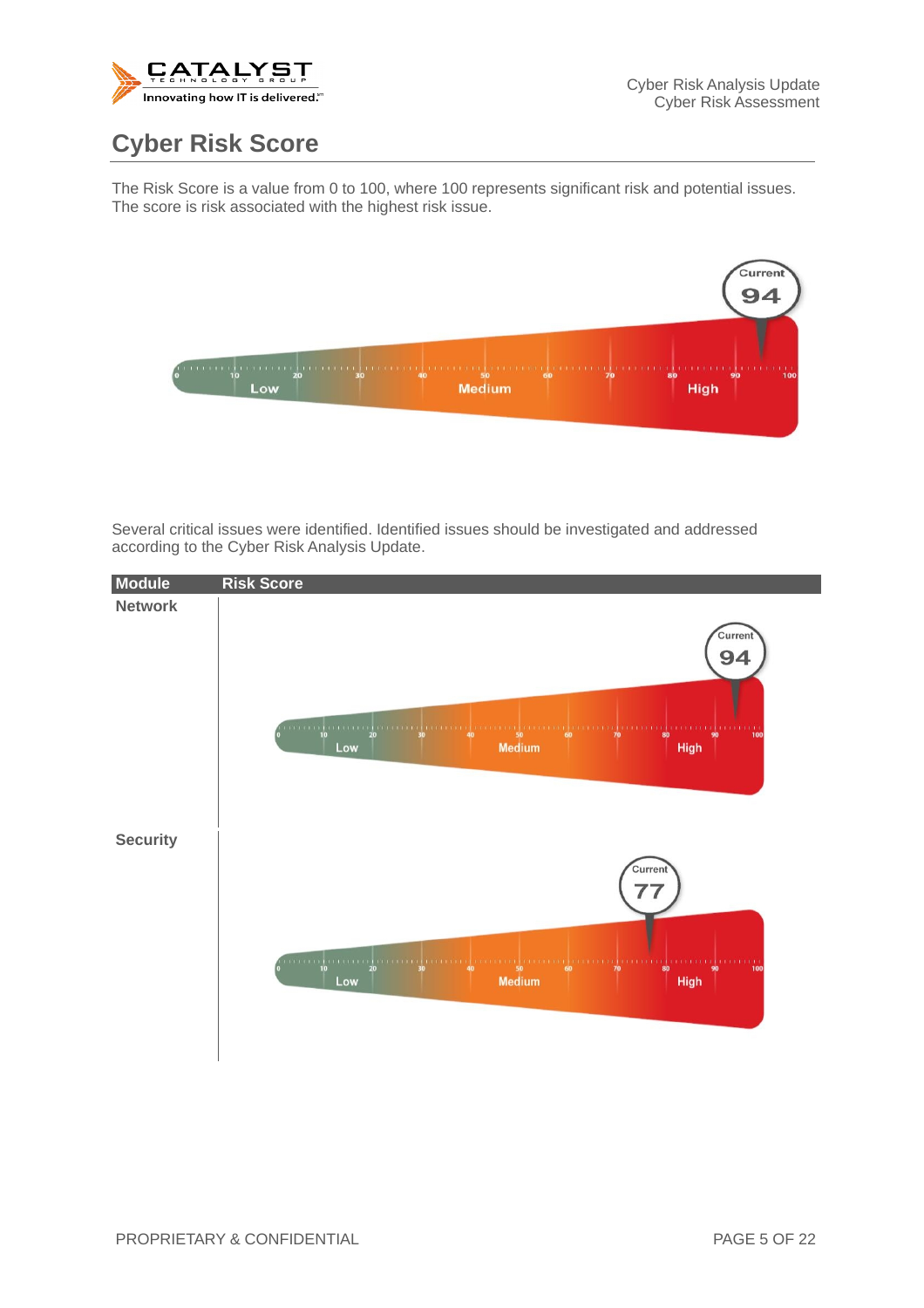

#### **Cyber Risk Score**

The Risk Score is a value from 0 to 100, where 100 represents significant risk and potential issues. The score is risk associated with the highest risk issue.



Several critical issues were identified. Identified issues should be investigated and addressed according to the Cyber Risk Analysis Update.

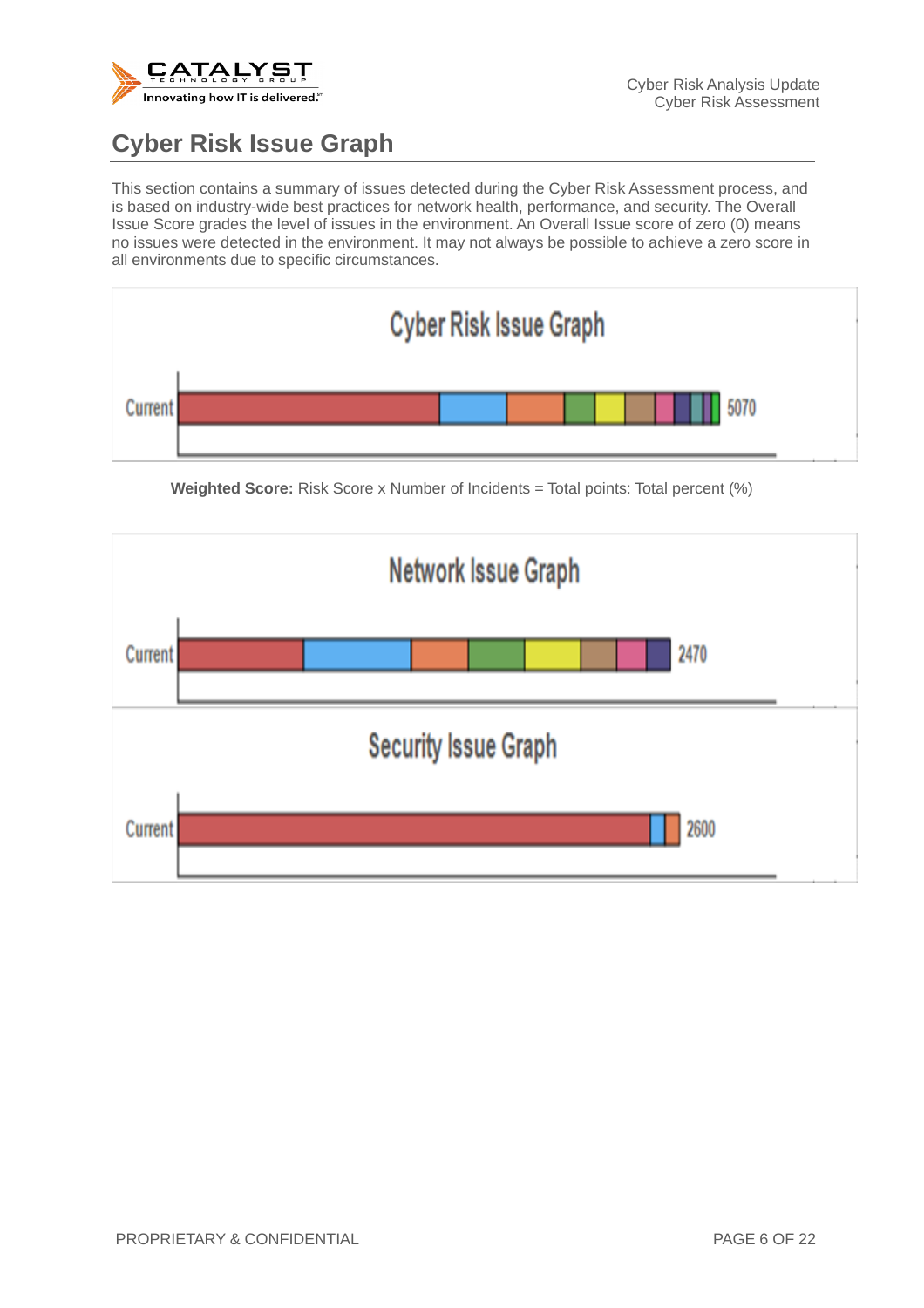

## **Cyber Risk Issue Graph**

This section contains a summary of issues detected during the Cyber Risk Assessment process, and is based on industry-wide best practices for network health, performance, and security. The Overall Issue Score grades the level of issues in the environment. An Overall Issue score of zero (0) means no issues were detected in the environment. It may not always be possible to achieve a zero score in all environments due to specific circumstances.



**Weighted Score:** Risk Score x Number of Incidents = Total points: Total percent (%)

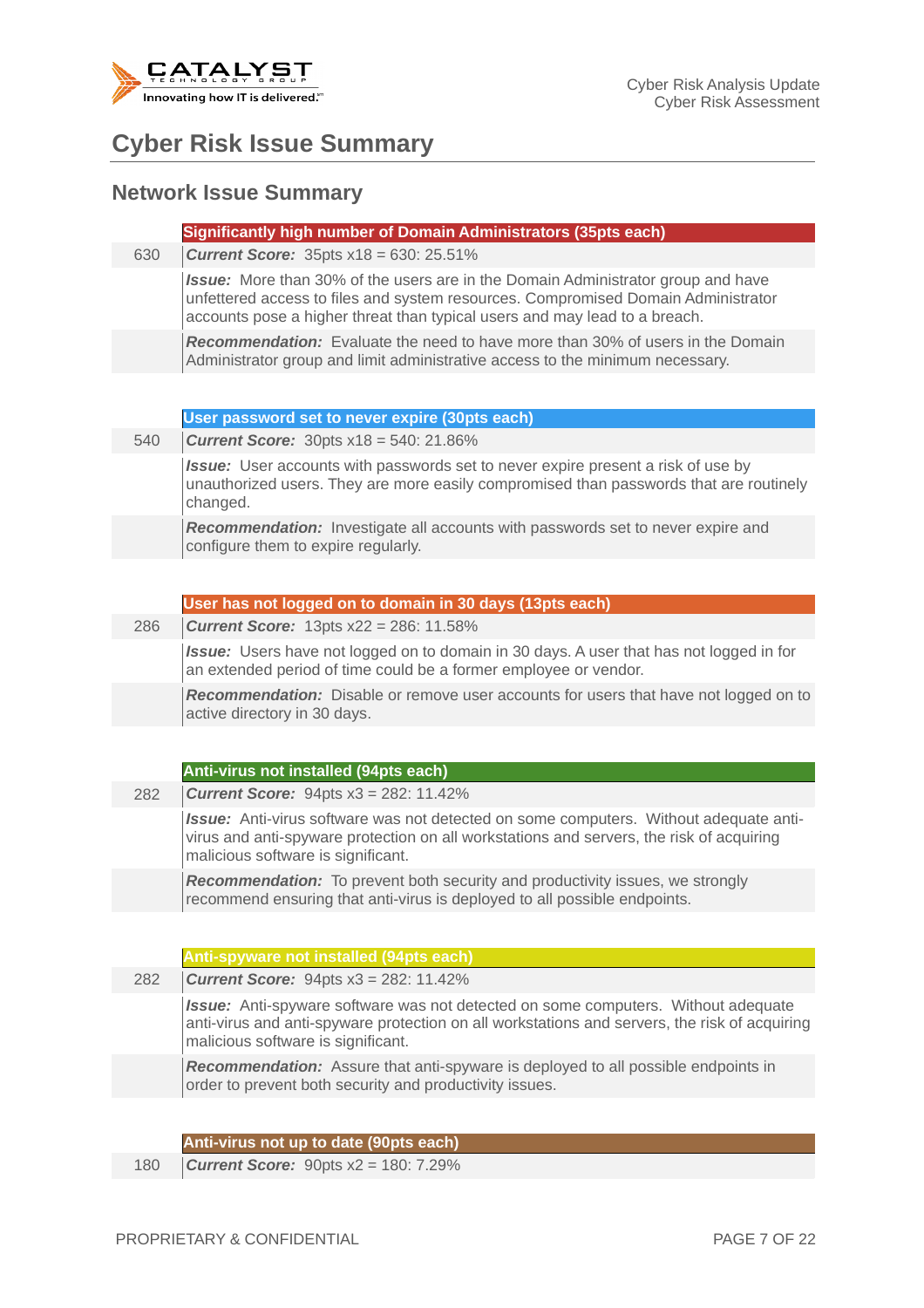

#### **Cyber Risk Issue Summary**

#### **Network Issue Summary**

|  | Significantly high number of Domain Administrators (35pts each) |  |
|--|-----------------------------------------------------------------|--|
|  |                                                                 |  |
|  |                                                                 |  |
|  |                                                                 |  |

630 *Current Score:* 35pts x18 = 630: 25.51%

*Issue:* More than 30% of the users are in the Domain Administrator group and have unfettered access to files and system resources. Compromised Domain Administrator accounts pose a higher threat than typical users and may lead to a breach.

*Recommendation:* Evaluate the need to have more than 30% of users in the Domain Administrator group and limit administrative access to the minimum necessary.

540 *Current Score:* 30pts x18 = 540: 21.86%

*Issue:* User accounts with passwords set to never expire present a risk of use by unauthorized users. They are more easily compromised than passwords that are routinely changed.

*Recommendation:* Investigate all accounts with passwords set to never expire and configure them to expire regularly.

#### **User has not logged on to domain in 30 days (13pts each)**

286 *Current Score:* 13pts x22 = 286: 11.58%

*Issue:* Users have not logged on to domain in 30 days. A user that has not logged in for an extended period of time could be a former employee or vendor.

*Recommendation:* Disable or remove user accounts for users that have not logged on to active directory in 30 days.

#### **Anti-virus not installed (94pts each)**

282 *Current Score:* 94pts x3 = 282: 11.42%

*Issue:* Anti-virus software was not detected on some computers. Without adequate antivirus and anti-spyware protection on all workstations and servers, the risk of acquiring malicious software is significant.

*Recommendation:* To prevent both security and productivity issues, we strongly recommend ensuring that anti-virus is deployed to all possible endpoints.

**Anti-spyware not installed (94pts each)**

282 *Current Score:* 94pts x3 = 282: 11.42%

*Issue:* Anti-spyware software was not detected on some computers. Without adequate anti-virus and anti-spyware protection on all workstations and servers, the risk of acquiring malicious software is significant.

*Recommendation:* Assure that anti-spyware is deployed to all possible endpoints in order to prevent both security and productivity issues.

**Anti-virus not up to date (90pts each)**

180 *Current Score:* 90pts x2 = 180: 7.29%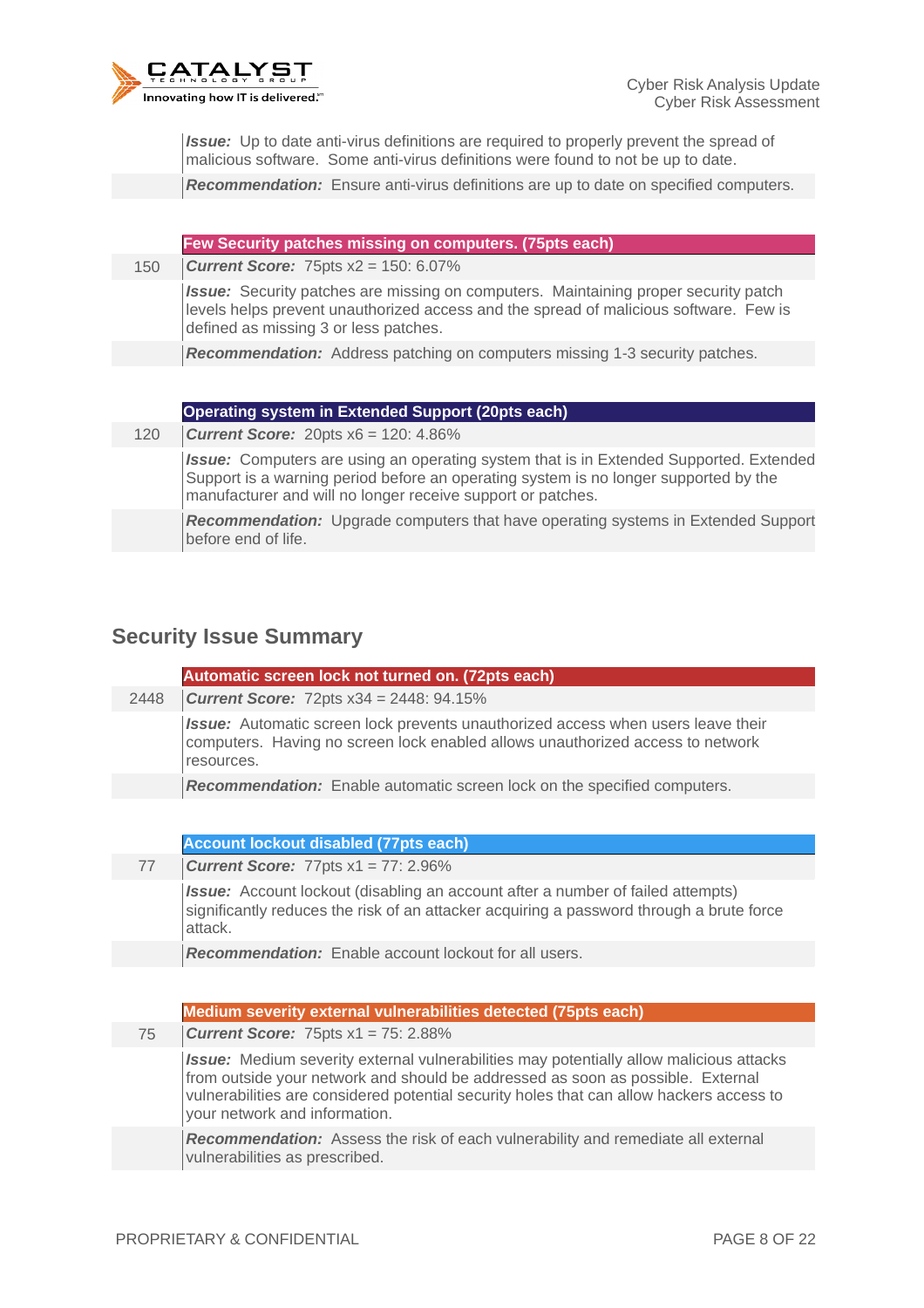

*Issue:* Up to date anti-virus definitions are required to properly prevent the spread of malicious software. Some anti-virus definitions were found to not be up to date.

*Recommendation:* Ensure anti-virus definitions are up to date on specified computers.

|     | Few Security patches missing on computers. (75pts each)                                                                                                                                                                      |
|-----|------------------------------------------------------------------------------------------------------------------------------------------------------------------------------------------------------------------------------|
| 150 | <b>Current Score:</b> 75pts $x^2 = 150$ : 6.07%                                                                                                                                                                              |
|     | <b>Issue:</b> Security patches are missing on computers. Maintaining proper security patch<br>levels helps prevent unauthorized access and the spread of malicious software. Few is<br>defined as missing 3 or less patches. |
|     | <b>Recommendation:</b> Address patching on computers missing 1-3 security patches.                                                                                                                                           |
|     |                                                                                                                                                                                                                              |
|     | Operating system in Extended Support (20pts each)                                                                                                                                                                            |
| 120 | <b>Current Score:</b> 20pts $x6 = 120$ : 4.86%                                                                                                                                                                               |
|     |                                                                                                                                                                                                                              |

*Issue:* Computers are using an operating system that is in Extended Supported. Extended Support is a warning period before an operating system is no longer supported by the manufacturer and will no longer receive support or patches.

*Recommendation:* Upgrade computers that have operating systems in Extended Support before end of life.

#### **Security Issue Summary**

|      | Automatic screen lock not turned on. (72pts each)                                                                                                                                       |
|------|-----------------------------------------------------------------------------------------------------------------------------------------------------------------------------------------|
| 2448 | <b>Current Score:</b> 72pts $x34 = 2448$ : 94.15%                                                                                                                                       |
|      | <b>Issue:</b> Automatic screen lock prevents unauthorized access when users leave their<br>computers. Having no screen lock enabled allows unauthorized access to network<br>resources. |
|      | <b>Recommendation:</b> Enable automatic screen lock on the specified computers.                                                                                                         |

**Account lockout disabled (77pts each)**

77 *Current Score:* 77pts x1 = 77: 2.96%

**Issue:** Account lockout (disabling an account after a number of failed attempts) significantly reduces the risk of an attacker acquiring a password through a brute force attack.

*Recommendation:* Enable account lockout for all users.

#### **Medium severity external vulnerabilities detected (75pts each)**

75 *Current Score:* 75pts x1 = 75: 2.88%

*Issue:* Medium severity external vulnerabilities may potentially allow malicious attacks from outside your network and should be addressed as soon as possible. External vulnerabilities are considered potential security holes that can allow hackers access to your network and information.

*Recommendation:* Assess the risk of each vulnerability and remediate all external vulnerabilities as prescribed.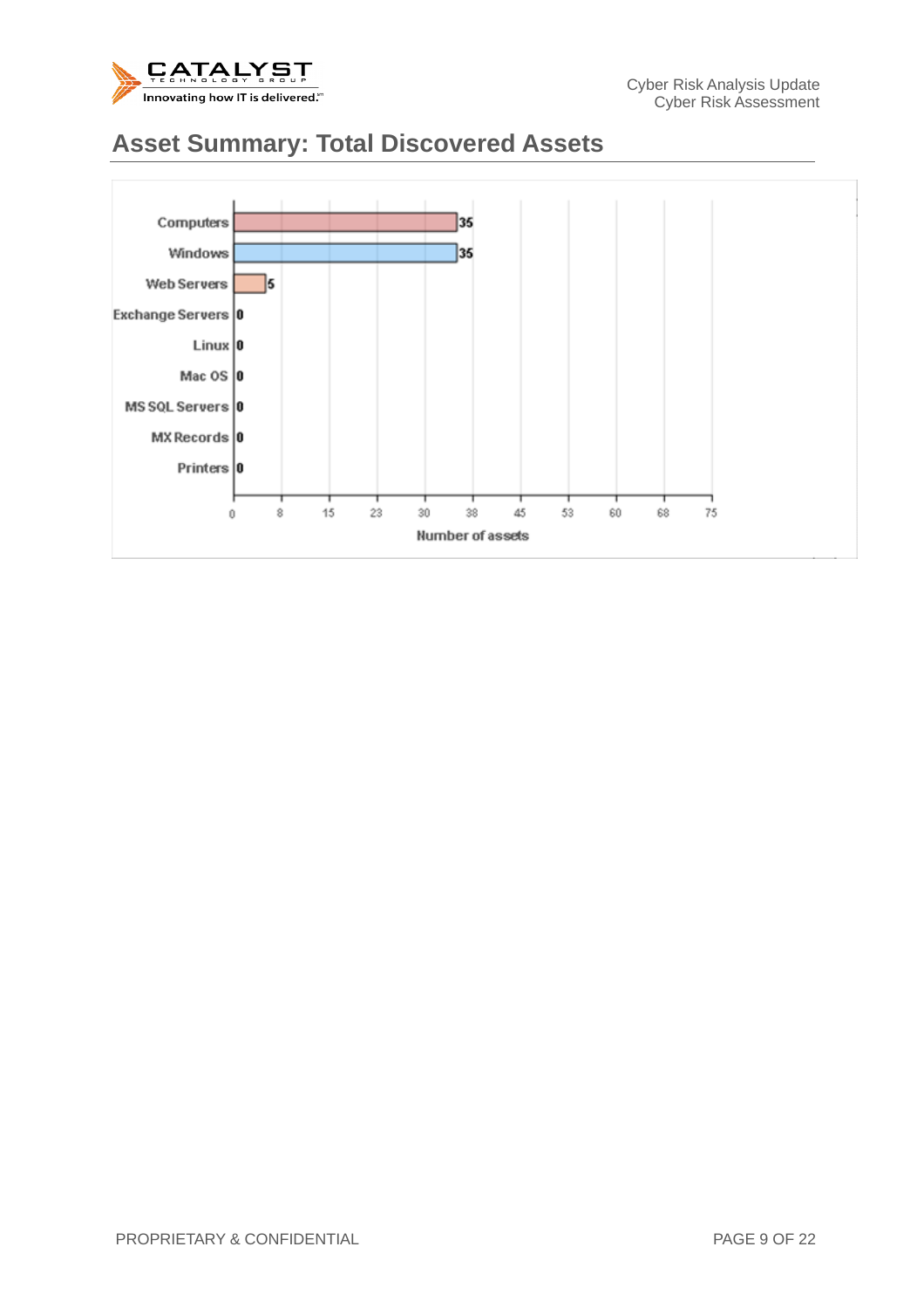

#### **Asset Summary: Total Discovered Assets**

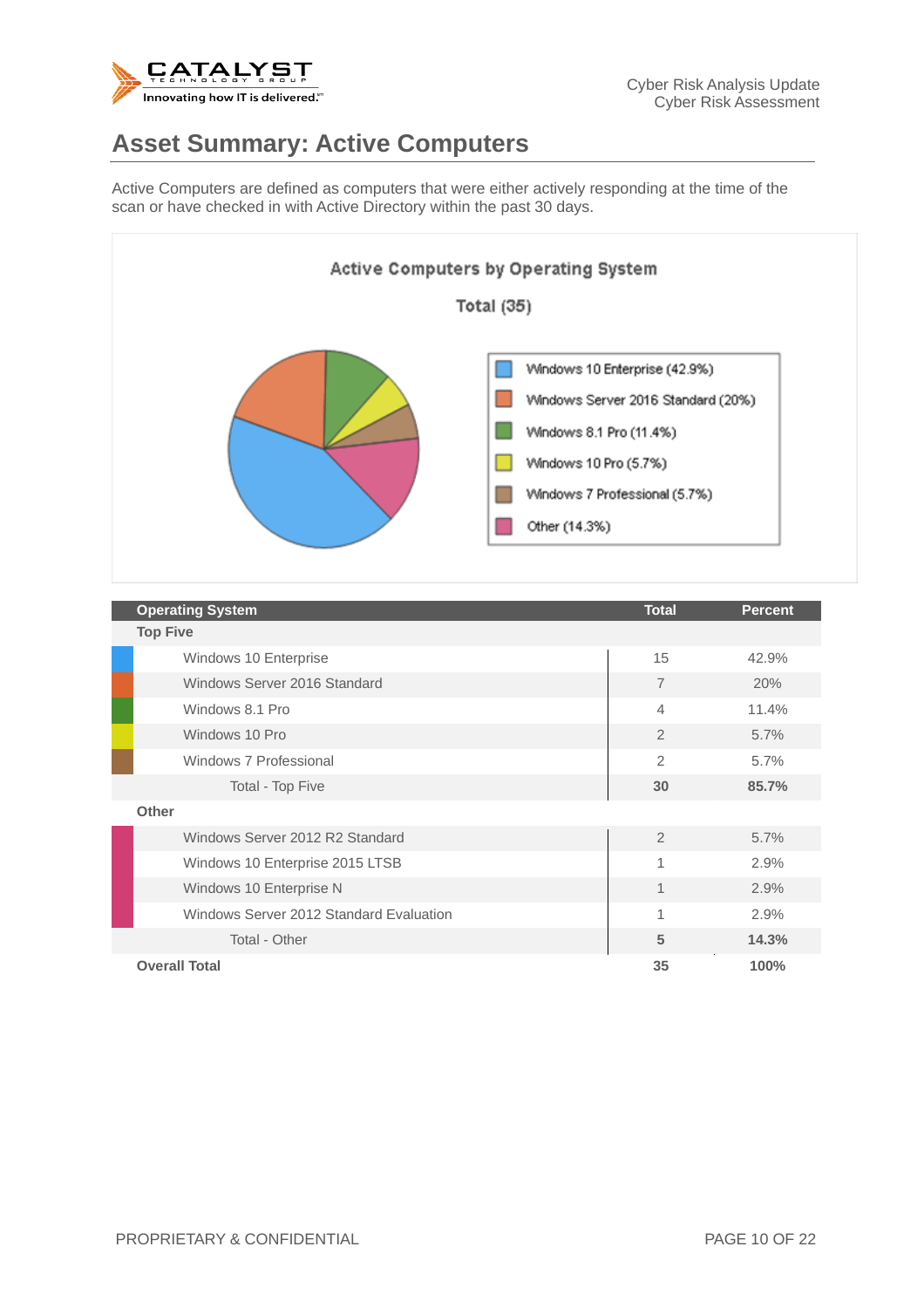

#### **Asset Summary: Active Computers**

Active Computers are defined as computers that were either actively responding at the time of the scan or have checked in with Active Directory within the past 30 days.



| <b>Operating System</b>                 | <b>Total</b>   | <b>Percent</b> |  |  |  |
|-----------------------------------------|----------------|----------------|--|--|--|
| <b>Top Five</b>                         |                |                |  |  |  |
| Windows 10 Enterprise                   | 15             | 42.9%          |  |  |  |
| Windows Server 2016 Standard            | $\overline{7}$ | 20%            |  |  |  |
| Windows 8.1 Pro                         | $\overline{4}$ | 11.4%          |  |  |  |
| Windows 10 Pro                          | 2              | 5.7%           |  |  |  |
| Windows 7 Professional                  | $\overline{2}$ | 5.7%           |  |  |  |
| Total - Top Five                        | 30             | 85.7%          |  |  |  |
| Other                                   |                |                |  |  |  |
| Windows Server 2012 R2 Standard         | $\overline{2}$ | 5.7%           |  |  |  |
| Windows 10 Enterprise 2015 LTSB         | $\mathbf{1}$   | 2.9%           |  |  |  |
| Windows 10 Enterprise N                 | $\mathbf{1}$   | 2.9%           |  |  |  |
| Windows Server 2012 Standard Evaluation | $\mathbf{1}$   | 2.9%           |  |  |  |
| Total - Other                           | 5              | 14.3%          |  |  |  |
| <b>Overall Total</b>                    | 35             | 100%           |  |  |  |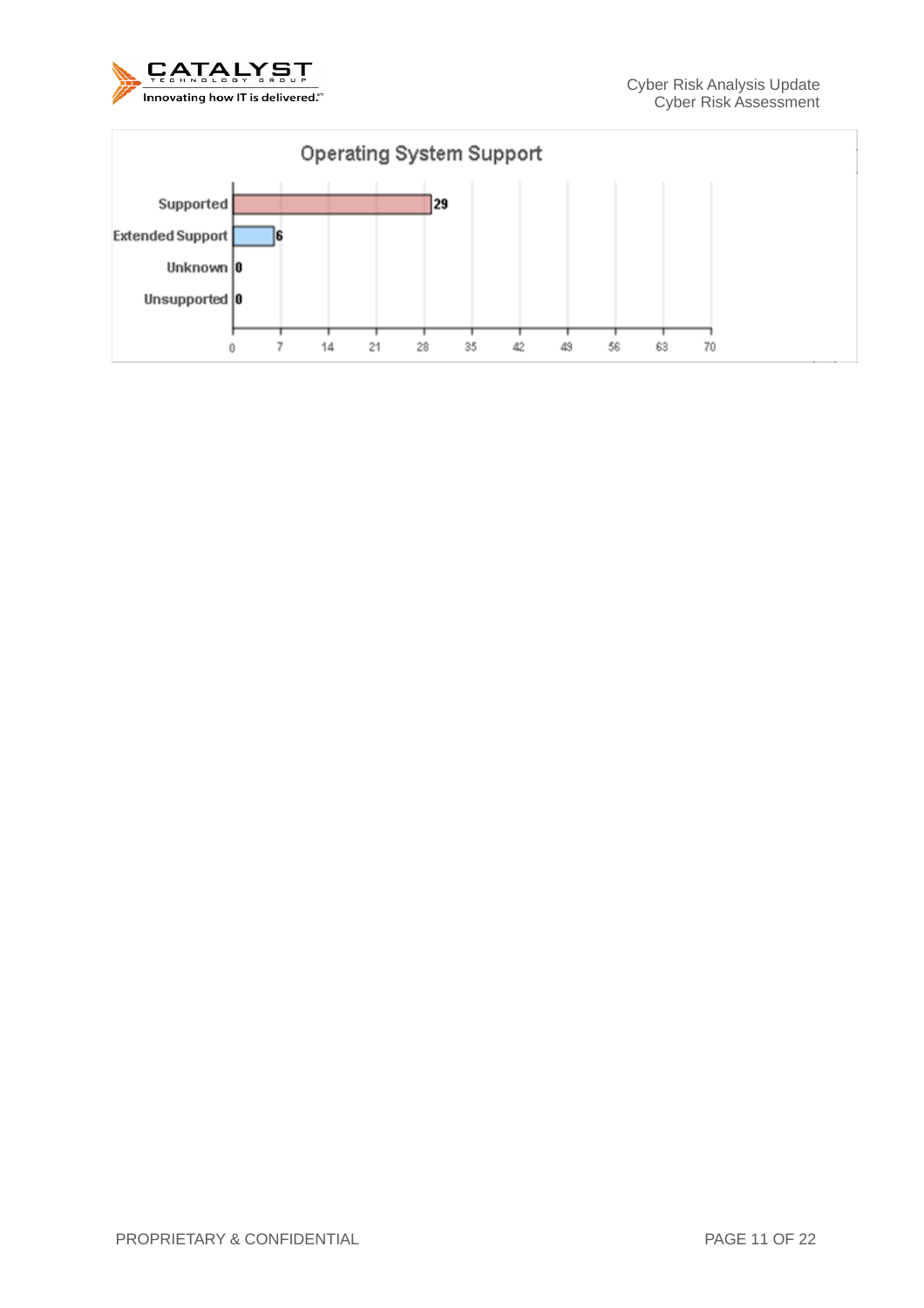

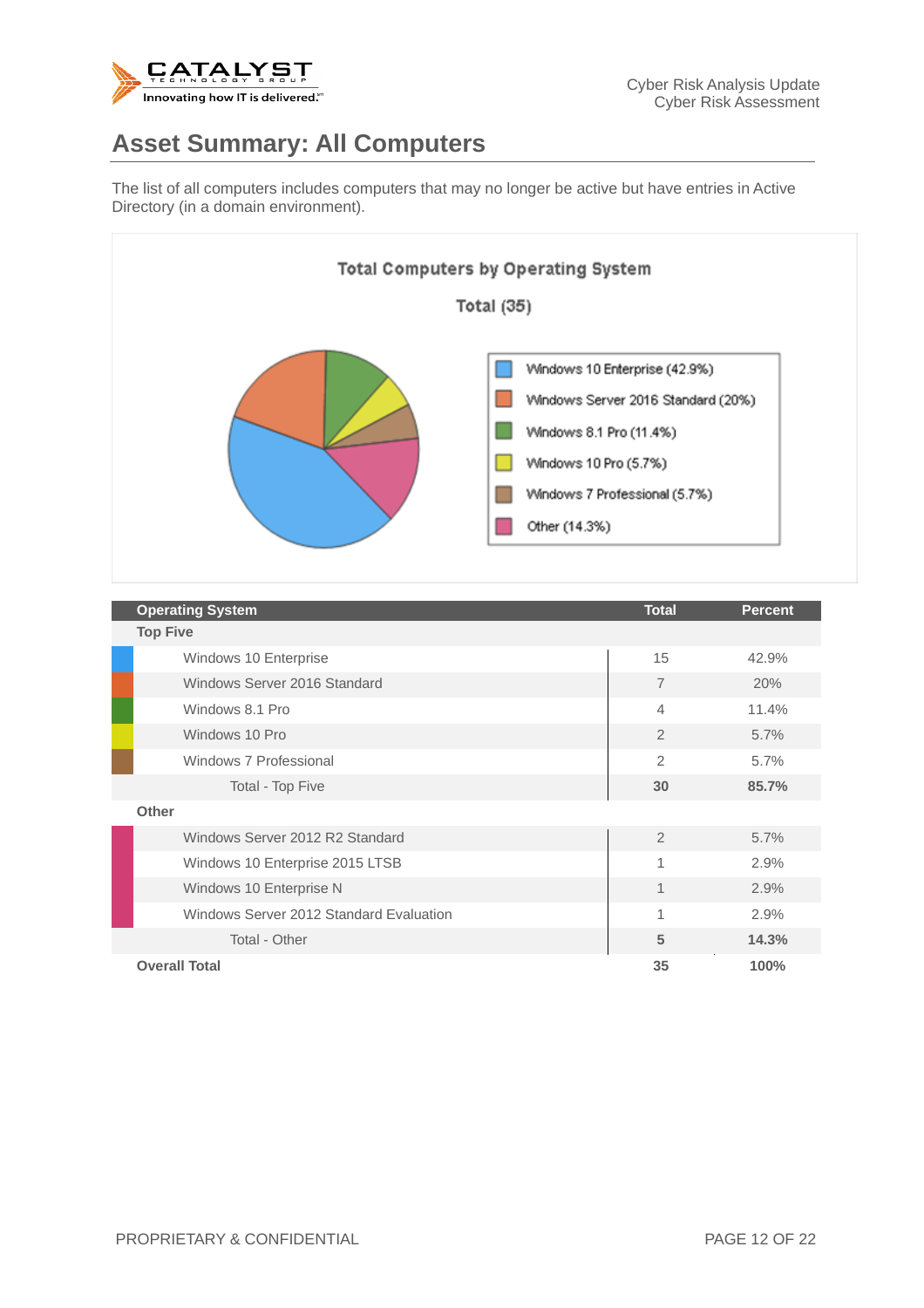

#### **Asset Summary: All Computers**

The list of all computers includes computers that may no longer be active but have entries in Active Directory (in a domain environment).



| <b>Operating System</b>                 | <b>Total</b>   | <b>Percent</b> |  |  |  |
|-----------------------------------------|----------------|----------------|--|--|--|
| <b>Top Five</b>                         |                |                |  |  |  |
| Windows 10 Enterprise                   | 15             | 42.9%          |  |  |  |
| Windows Server 2016 Standard            | $\overline{7}$ | 20%            |  |  |  |
| Windows 8.1 Pro                         | $\overline{4}$ | 11.4%          |  |  |  |
| Windows 10 Pro                          | 2              | 5.7%           |  |  |  |
| Windows 7 Professional                  | $\overline{2}$ | 5.7%           |  |  |  |
| Total - Top Five                        | 30             | 85.7%          |  |  |  |
| Other                                   |                |                |  |  |  |
| Windows Server 2012 R2 Standard         | $\overline{2}$ | 5.7%           |  |  |  |
| Windows 10 Enterprise 2015 LTSB         | $\mathbf{1}$   | 2.9%           |  |  |  |
| Windows 10 Enterprise N                 | $\mathbf{1}$   | 2.9%           |  |  |  |
| Windows Server 2012 Standard Evaluation | $\mathbf{1}$   | 2.9%           |  |  |  |
| Total - Other                           | 5              | 14.3%          |  |  |  |
| <b>Overall Total</b>                    | 35             | 100%           |  |  |  |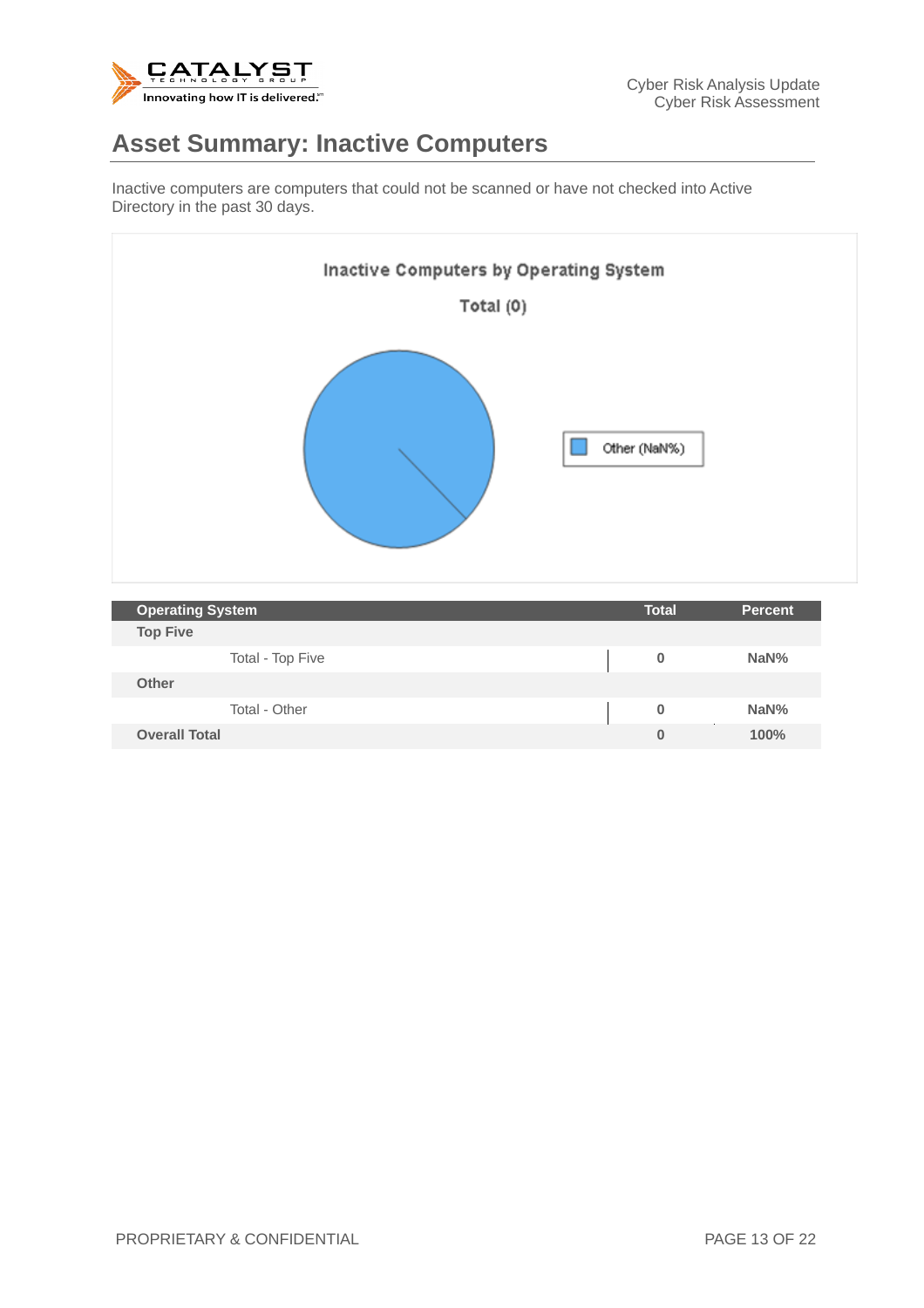

#### **Asset Summary: Inactive Computers**

Inactive computers are computers that could not be scanned or have not checked into Active Directory in the past 30 days.



| <b>Operating System</b> | <b>Total</b> | <b>Percent</b> |
|-------------------------|--------------|----------------|
| <b>Top Five</b>         |              |                |
| Total - Top Five        | 0            | NaN%           |
| <b>Other</b>            |              |                |
| Total - Other           | 0            | NaN%           |
| <b>Overall Total</b>    |              | 100%           |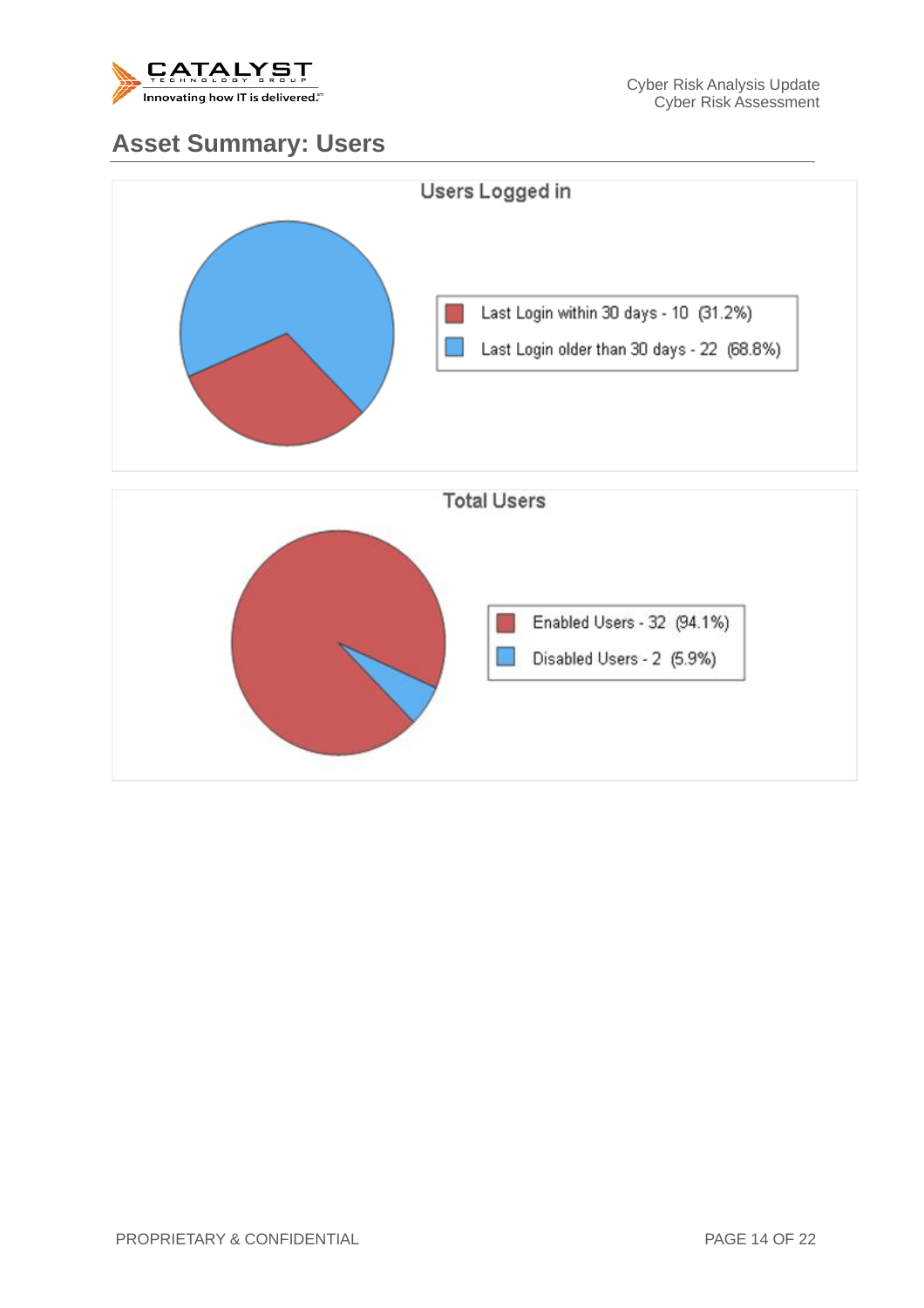

#### **Asset Summary: Users**

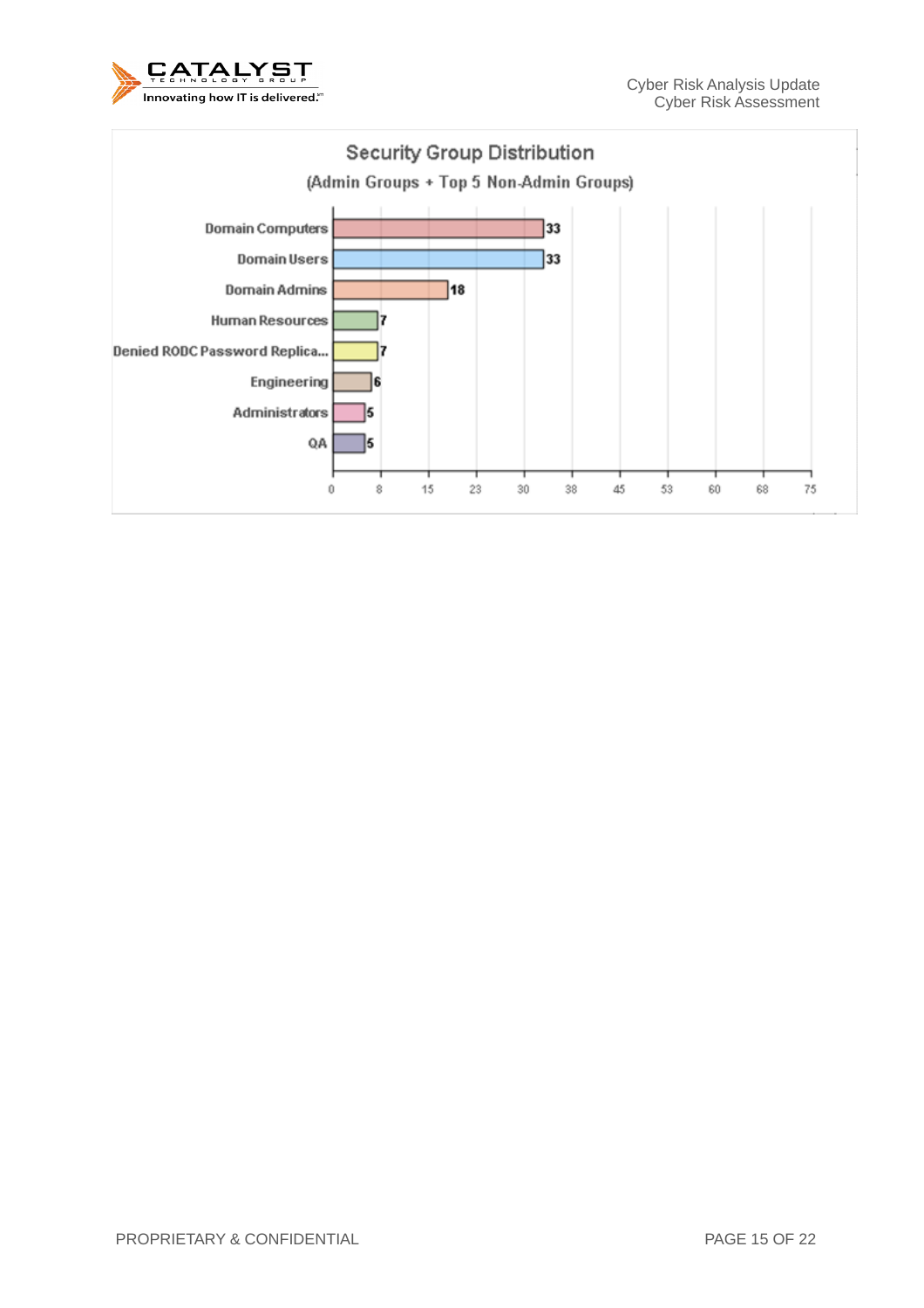

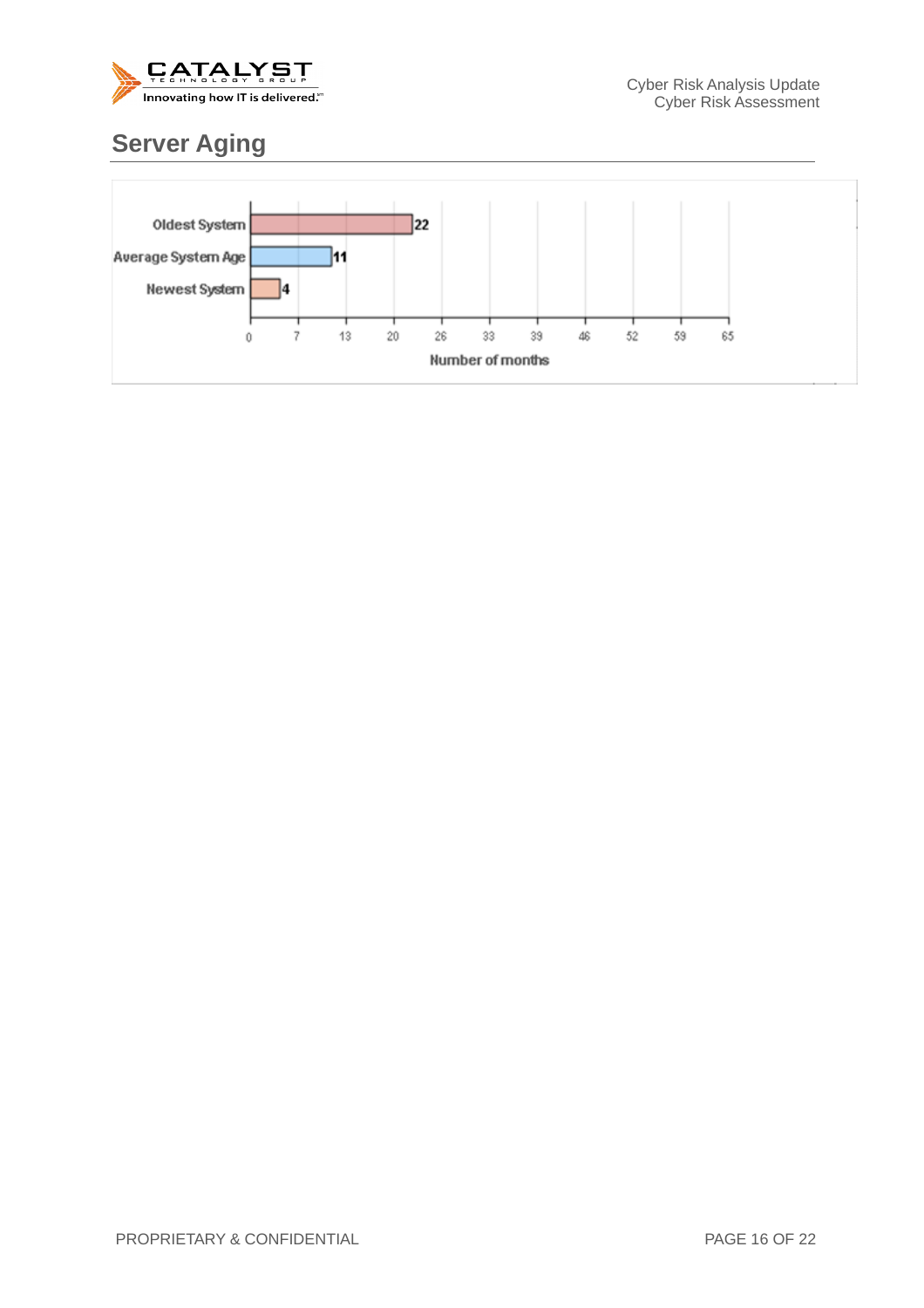

## **Server Aging**

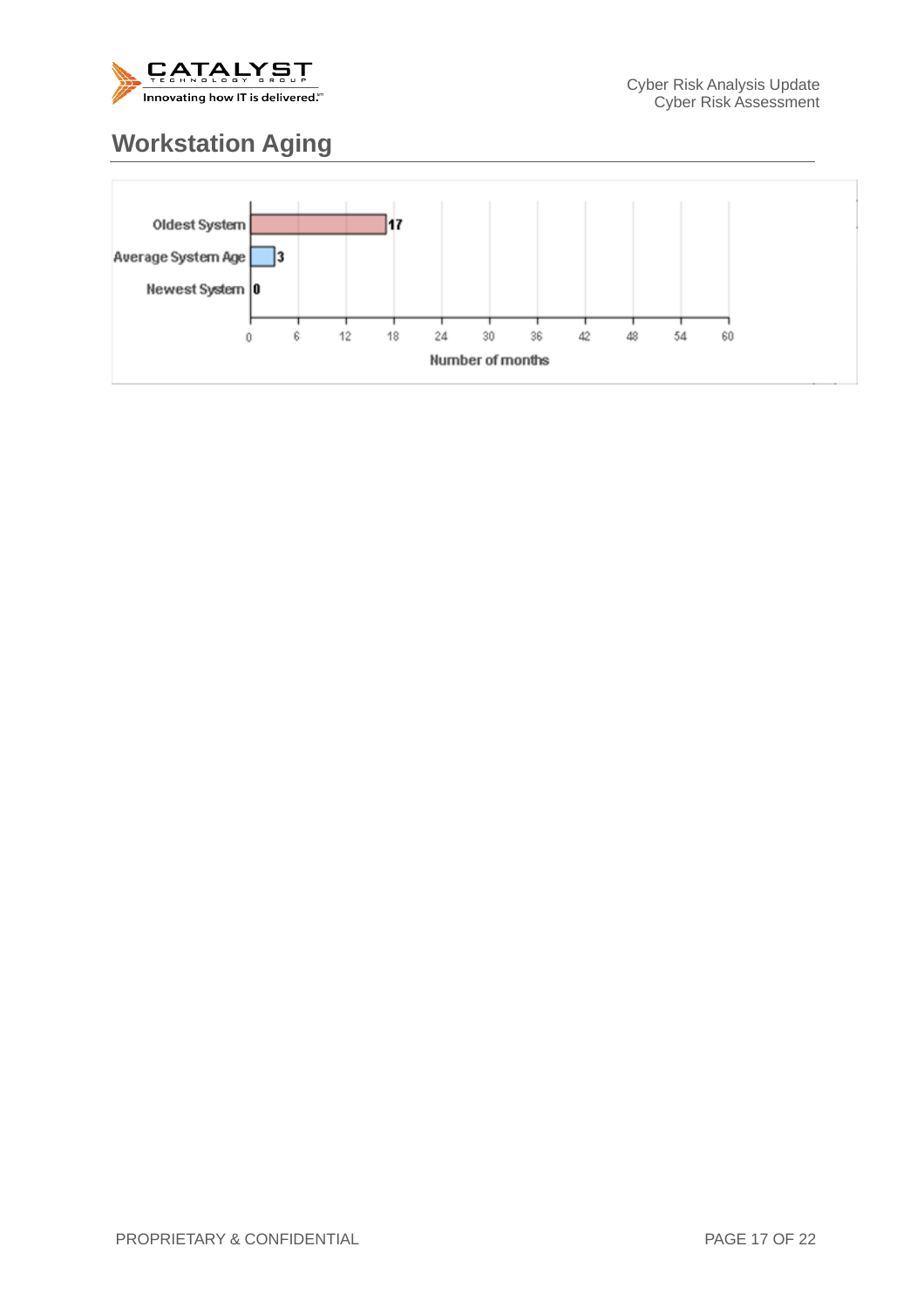

## **Workstation Aging**

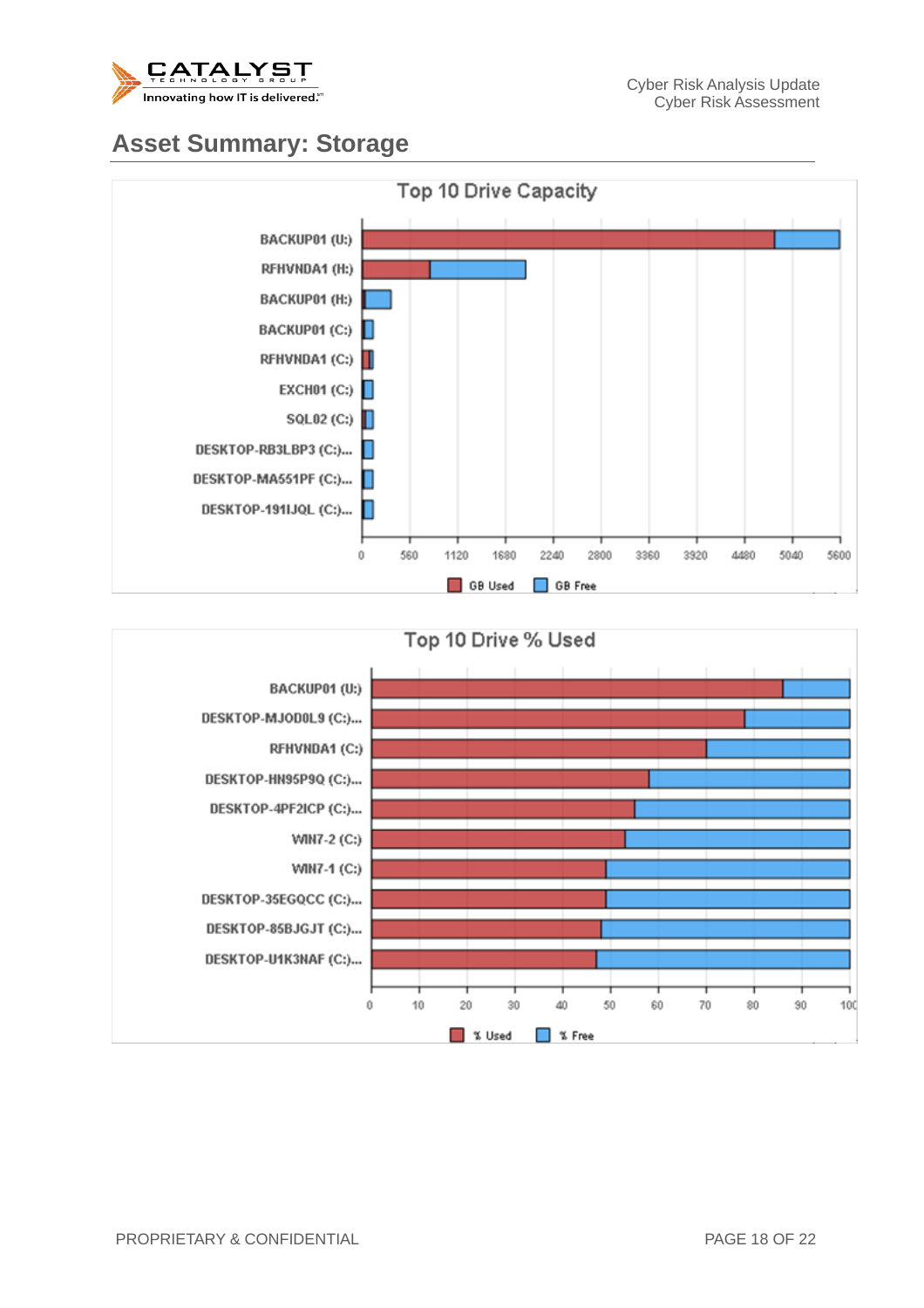

#### **Asset Summary: Storage**



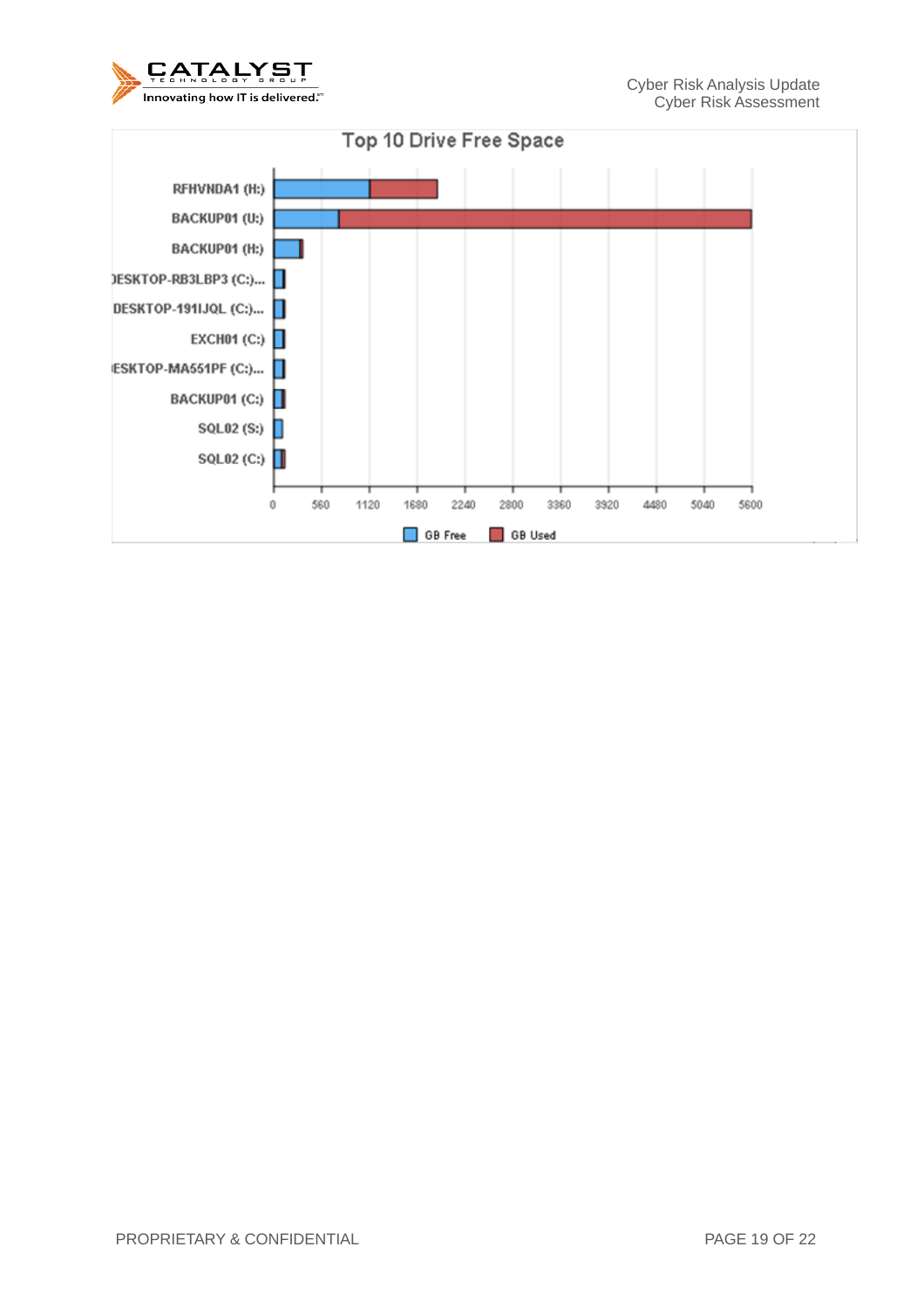

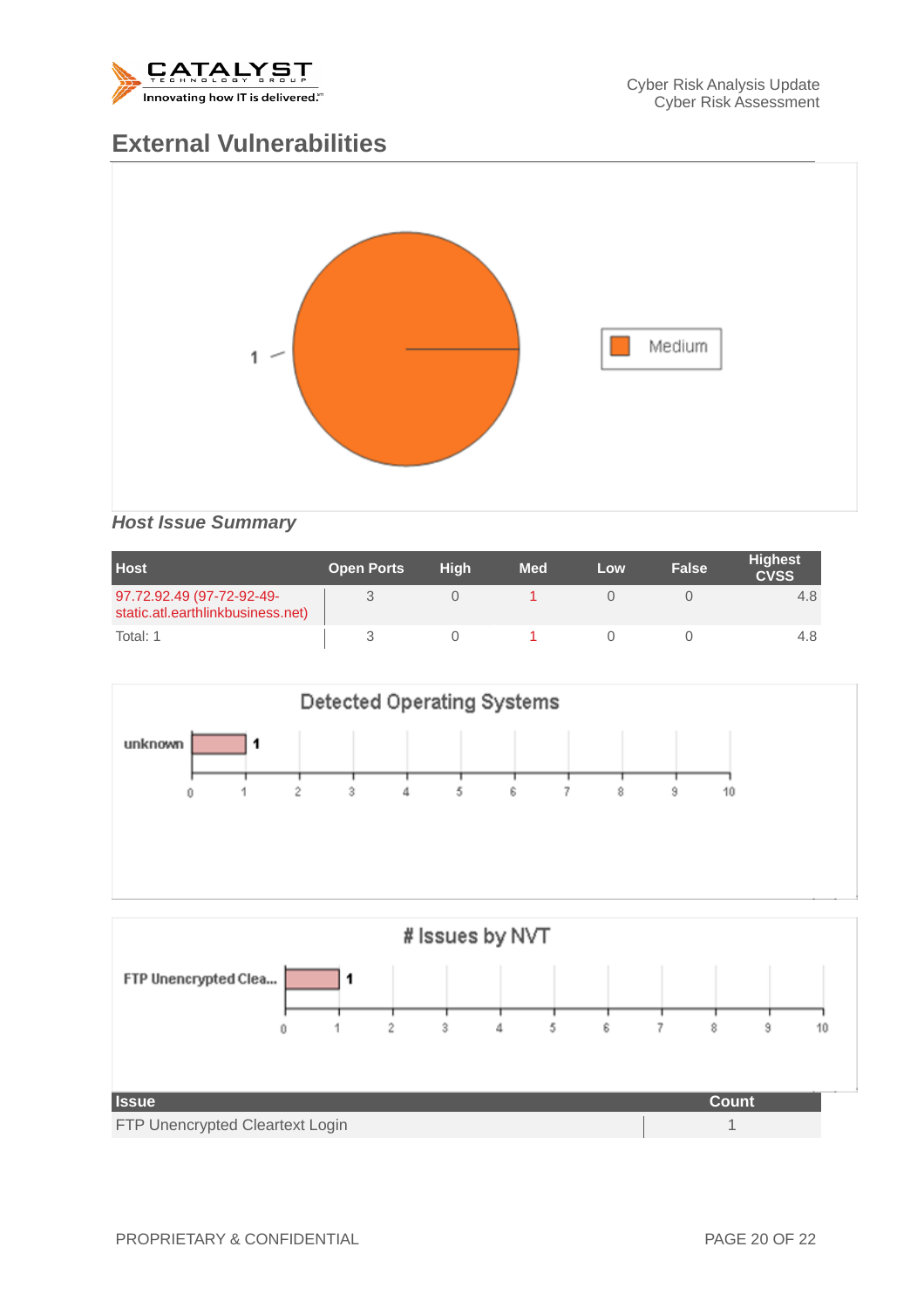

#### **External Vulnerabilities**



#### *Host Issue Summary*

| <b>Host</b>                                                    | <b>Open Ports</b> | <b>High</b> | <b>Med</b> | Low | False | <b>Highest</b><br><b>CVSS</b> |
|----------------------------------------------------------------|-------------------|-------------|------------|-----|-------|-------------------------------|
| 97.72.92.49 (97-72-92-49-<br>static.atl.earthlinkbusiness.net) |                   |             |            |     |       | 4.8                           |
| Total: 1                                                       |                   |             |            |     |       | 4.8                           |



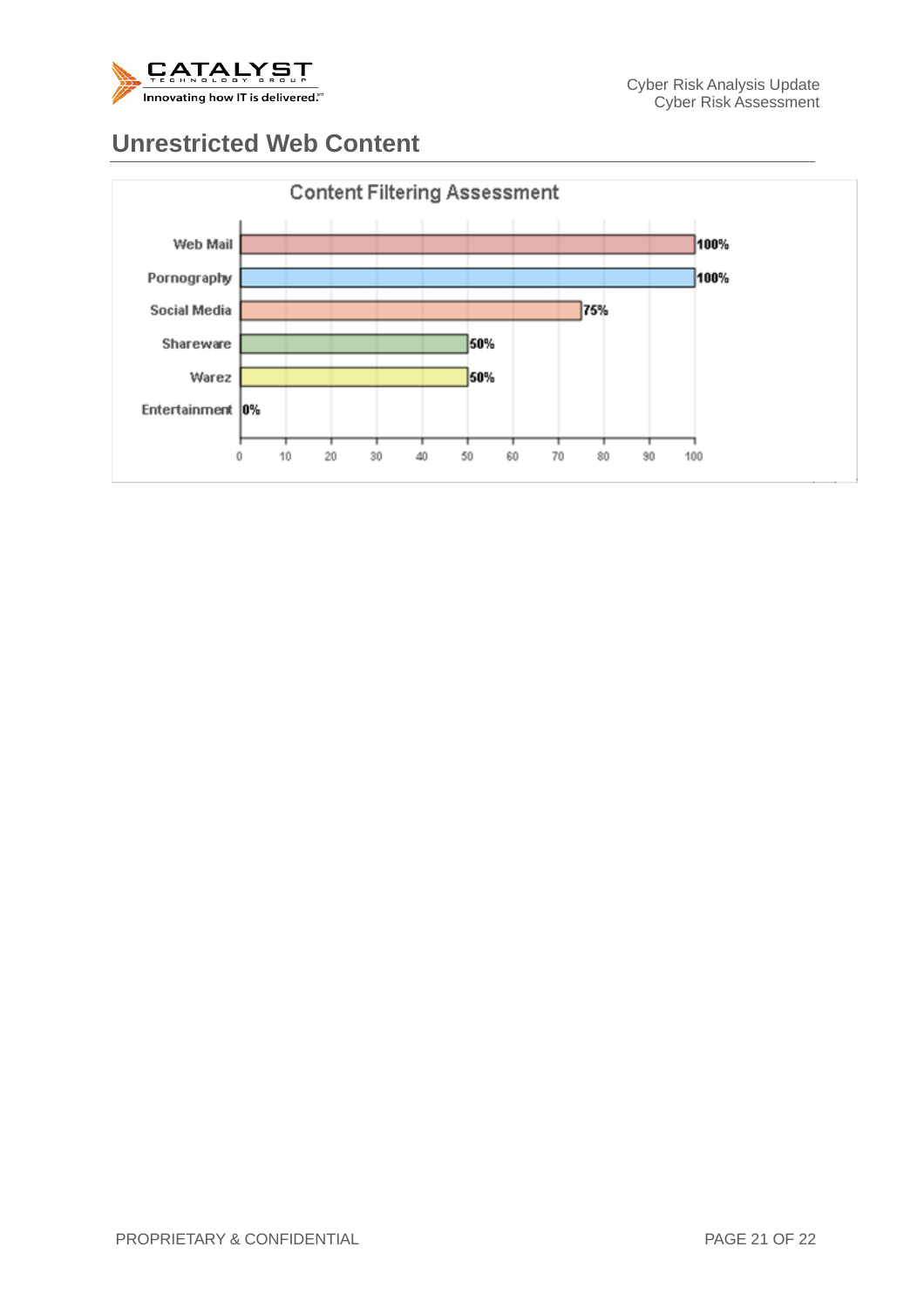

#### **Unrestricted Web Content**